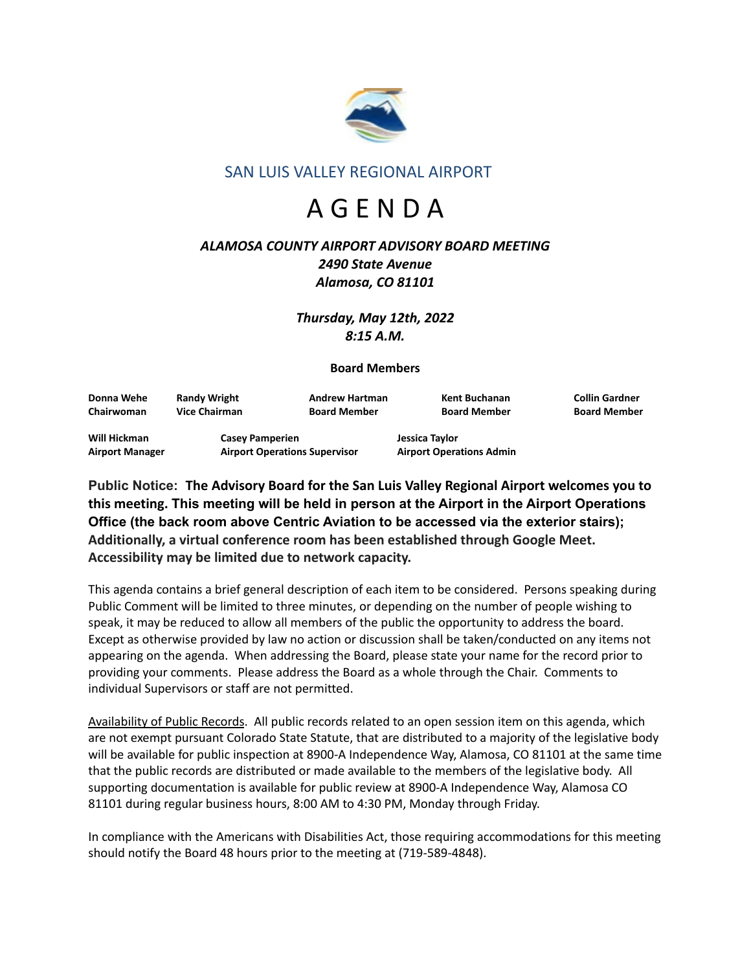

## SAN LUIS VALLEY REGIONAL AIRPORT

# A G E N D A

## *ALAMOSA COUNTY AIRPORT ADVISORY BOARD MEETING 2490 State Avenue Alamosa, CO 81101*

*Thursday, May 12th, 2022 8:15 A.M.*

## **Board Members**

| Donna Wehe                             | <b>Randy Wright</b>                                            | <b>Andrew Hartman</b> | Kent Buchanan                                     | <b>Collin Gardner</b> |
|----------------------------------------|----------------------------------------------------------------|-----------------------|---------------------------------------------------|-----------------------|
| Chairwoman                             | <b>Vice Chairman</b>                                           | <b>Board Member</b>   | <b>Board Member</b>                               | <b>Board Member</b>   |
| Will Hickman<br><b>Airport Manager</b> | <b>Casey Pamperien</b><br><b>Airport Operations Supervisor</b> |                       | Jessica Taylor<br><b>Airport Operations Admin</b> |                       |

**Public Notice: The Advisory Board for the San Luis Valley Regional Airport welcomes you to this meeting. This meeting will be held in person at the Airport in the Airport Operations Office (the back room above Centric Aviation to be accessed via the exterior stairs); Additionally, a virtual conference room has been established through Google Meet. Accessibility may be limited due to network capacity.**

This agenda contains a brief general description of each item to be considered. Persons speaking during Public Comment will be limited to three minutes, or depending on the number of people wishing to speak, it may be reduced to allow all members of the public the opportunity to address the board. Except as otherwise provided by law no action or discussion shall be taken/conducted on any items not appearing on the agenda. When addressing the Board, please state your name for the record prior to providing your comments. Please address the Board as a whole through the Chair. Comments to individual Supervisors or staff are not permitted.

Availability of Public Records. All public records related to an open session item on this agenda, which are not exempt pursuant Colorado State Statute, that are distributed to a majority of the legislative body will be available for public inspection at 8900-A Independence Way, Alamosa, CO 81101 at the same time that the public records are distributed or made available to the members of the legislative body. All supporting documentation is available for public review at 8900-A Independence Way, Alamosa CO 81101 during regular business hours, 8:00 AM to 4:30 PM, Monday through Friday.

In compliance with the Americans with Disabilities Act, those requiring accommodations for this meeting should notify the Board 48 hours prior to the meeting at (719-589-4848).